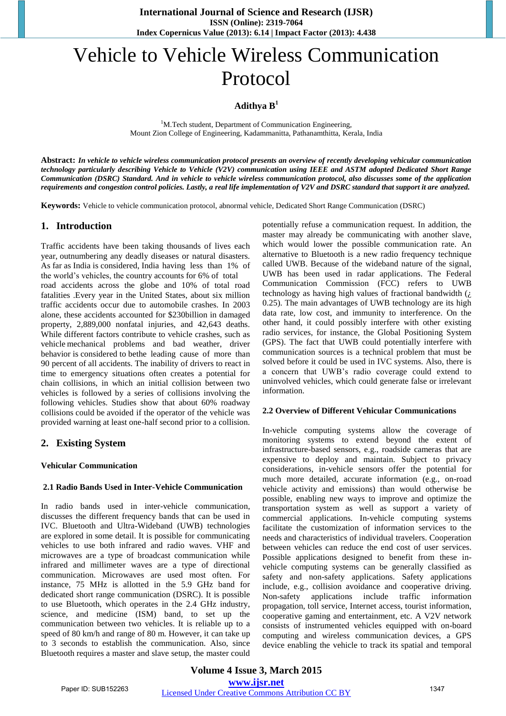# Vehicle to Vehicle Wireless Communication Protocol

## **Adithya B<sup>1</sup>**

<sup>1</sup>M.Tech student, Department of Communication Engineering, Mount Zion College of Engineering, Kadammanitta, Pathanamthitta, Kerala, India

**Abstract:** *In vehicle to vehicle wireless communication protocol presents an overview of recently developing vehicular communication technology particularly describing Vehicle to Vehicle (V2V) communication using IEEE and ASTM adopted Dedicated Short Range Communication (DSRC) Standard. And in vehicle to vehicle wireless communication protocol, also discusses some of the application requirements and congestion control policies. Lastly, a real life implementation of V2V and DSRC standard that support it are analyzed.* 

**Keywords:** Vehicle to vehicle communication protocol, abnormal vehicle, Dedicated Short Range Communication (DSRC)

## **1. Introduction**

Traffic accidents have been taking thousands of lives each year, outnumbering any deadly diseases or natural disasters. As far as India is considered, India having less than 1% of the world's vehicles, the country accounts for 6% of total road accidents across the globe and 10% of total road fatalities .Every year in the United States, about six million traffic accidents occur due to automobile crashes. In 2003 alone, these accidents accounted for \$230billion in damaged property, 2,889,000 nonfatal injuries, and 42,643 deaths. While different factors contribute to vehicle crashes, such as vehicle mechanical problems and bad weather, driver behavior is considered to bethe leading cause of more than 90 percent of all accidents. The inability of drivers to react in time to emergency situations often creates a potential for chain collisions, in which an initial collision between two vehicles is followed by a series of collisions involving the following vehicles. Studies show that about 60% roadway collisions could be avoided if the operator of the vehicle was provided warning at least one-half second prior to a collision.

# **2. Existing System**

## **Vehicular Communication**

### **2.1 Radio Bands Used in Inter-Vehicle Communication**

In radio bands used in inter-vehicle communication, discusses the different frequency bands that can be used in IVC. Bluetooth and Ultra-Wideband (UWB) technologies are explored in some detail. It is possible for communicating vehicles to use both infrared and radio waves. VHF and microwaves are a type of broadcast communication while infrared and millimeter waves are a type of directional communication. Microwaves are used most often. For instance, 75 MHz is allotted in the 5.9 GHz band for dedicated short range communication (DSRC). It is possible to use Bluetooth, which operates in the 2.4 GHz industry, science, and medicine (ISM) band, to set up the communication between two vehicles. It is reliable up to a speed of 80 km/h and range of 80 m. However, it can take up to 3 seconds to establish the communication. Also, since Bluetooth requires a master and slave setup, the master could potentially refuse a communication request. In addition, the master may already be communicating with another slave, which would lower the possible communication rate. An alternative to Bluetooth is a new radio frequency technique called UWB. Because of the wideband nature of the signal, UWB has been used in radar applications. The Federal Communication Commission (FCC) refers to UWB technology as having high values of fractional bandwidth (¿ 0.25). The main advantages of UWB technology are its high data rate, low cost, and immunity to interference. On the other hand, it could possibly interfere with other existing radio services, for instance, the Global Positioning System (GPS). The fact that UWB could potentially interfere with communication sources is a technical problem that must be solved before it could be used in IVC systems. Also, there is a concern that UWB's radio coverage could extend to uninvolved vehicles, which could generate false or irrelevant information.

### **2.2 Overview of Different Vehicular Communications**

In-vehicle computing systems allow the coverage of monitoring systems to extend beyond the extent of infrastructure-based sensors, e.g., roadside cameras that are expensive to deploy and maintain. Subject to privacy considerations, in-vehicle sensors offer the potential for much more detailed, accurate information (e.g., on-road vehicle activity and emissions) than would otherwise be possible, enabling new ways to improve and optimize the transportation system as well as support a variety of commercial applications. In-vehicle computing systems facilitate the customization of information services to the needs and characteristics of individual travelers. Cooperation between vehicles can reduce the end cost of user services. Possible applications designed to benefit from these invehicle computing systems can be generally classified as safety and non-safety applications. Safety applications include, e.g., collision avoidance and cooperative driving. Non-safety applications include traffic information propagation, toll service, Internet access, tourist information, cooperative gaming and entertainment, etc. A V2V network consists of instrumented vehicles equipped with on-board computing and wireless communication devices, a GPS device enabling the vehicle to track its spatial and temporal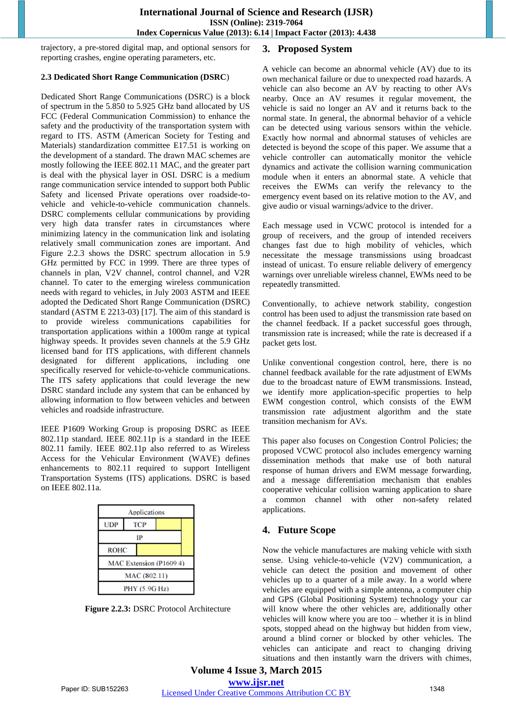trajectory, a pre-stored digital map, and optional sensors for reporting crashes, engine operating parameters, etc.

## **2.3 Dedicated Short Range Communication (DSRC**)

Dedicated Short Range Communications (DSRC) is a block of spectrum in the 5.850 to 5.925 GHz band allocated by US FCC (Federal Communication Commission) to enhance the safety and the productivity of the transportation system with regard to ITS. ASTM (American Society for Testing and Materials) standardization committee E17.51 is working on the development of a standard. The drawn MAC schemes are mostly following the IEEE 802.11 MAC, and the greater part is deal with the physical layer in OSI. DSRC is a medium range communication service intended to support both Public Safety and licensed Private operations over roadside-tovehicle and vehicle-to-vehicle communication channels. DSRC complements cellular communications by providing very high data transfer rates in circumstances where minimizing latency in the communication link and isolating relatively small communication zones are important. And Figure 2.2.3 shows the DSRC spectrum allocation in 5.9 GHz permitted by FCC in 1999. There are three types of channels in plan, V2V channel, control channel, and V2R channel. To cater to the emerging wireless communication needs with regard to vehicles, in July 2003 ASTM and IEEE adopted the Dedicated Short Range Communication (DSRC) standard (ASTM E 2213-03) [17]. The aim of this standard is to provide wireless communications capabilities for transportation applications within a 1000m range at typical highway speeds. It provides seven channels at the 5.9 GHz licensed band for ITS applications, with different channels designated for different applications, including one specifically reserved for vehicle-to-vehicle communications. The ITS safety applications that could leverage the new DSRC standard include any system that can be enhanced by allowing information to flow between vehicles and between vehicles and roadside infrastructure.

IEEE P1609 Working Group is proposing DSRC as IEEE 802.11p standard. IEEE 802.11p is a standard in the IEEE 802.11 family. IEEE 802.11p also referred to as Wireless Access for the Vehicular Environment (WAVE) defines enhancements to 802.11 required to support Intelligent Transportation Systems (ITS) applications. DSRC is based on IEEE 802.11a.

| Applications            |  |            |  |  |
|-------------------------|--|------------|--|--|
| <b>UDP</b>              |  | <b>TCP</b> |  |  |
| IP                      |  |            |  |  |
| <b>ROHC</b>             |  |            |  |  |
| MAC Extension (P1609.4) |  |            |  |  |
| MAC (802.11)            |  |            |  |  |
| PHY (5.9G Hz)           |  |            |  |  |

**Figure 2.2.3:** DSRC Protocol Architecture

# **3. Proposed System**

A vehicle can become an abnormal vehicle (AV) due to its own mechanical failure or due to unexpected road hazards. A vehicle can also become an AV by reacting to other AVs nearby. Once an AV resumes it regular movement, the vehicle is said no longer an AV and it returns back to the normal state. In general, the abnormal behavior of a vehicle can be detected using various sensors within the vehicle. Exactly how normal and abnormal statuses of vehicles are detected is beyond the scope of this paper. We assume that a vehicle controller can automatically monitor the vehicle dynamics and activate the collision warning communication module when it enters an abnormal state. A vehicle that receives the EWMs can verify the relevancy to the emergency event based on its relative motion to the AV, and give audio or visual warnings/advice to the driver.

Each message used in VCWC protocol is intended for a group of receivers, and the group of intended receivers changes fast due to high mobility of vehicles, which necessitate the message transmissions using broadcast instead of unicast. To ensure reliable delivery of emergency warnings over unreliable wireless channel, EWMs need to be repeatedly transmitted.

Conventionally, to achieve network stability, congestion control has been used to adjust the transmission rate based on the channel feedback. If a packet successful goes through, transmission rate is increased; while the rate is decreased if a packet gets lost.

Unlike conventional congestion control, here, there is no channel feedback available for the rate adjustment of EWMs due to the broadcast nature of EWM transmissions. Instead, we identify more application-specific properties to help EWM congestion control, which consists of the EWM transmission rate adjustment algorithm and the state transition mechanism for AVs.

This paper also focuses on Congestion Control Policies; the proposed VCWC protocol also includes emergency warning dissemination methods that make use of both natural response of human drivers and EWM message forwarding, and a message differentiation mechanism that enables cooperative vehicular collision warning application to share a common channel with other non-safety related applications.

# **4. Future Scope**

Now the vehicle manufactures are making vehicle with sixth sense. Using vehicle-to-vehicle (V2V) communication, a vehicle can detect the position and movement of other vehicles up to a quarter of a mile away. In a world where vehicles are equipped with a simple antenna, a computer chip and GPS (Global Positioning System) technology your car will know where the other vehicles are, additionally other vehicles will know where you are too – whether it is in blind spots, stopped ahead on the highway but hidden from view, around a blind corner or blocked by other vehicles. The vehicles can anticipate and react to changing driving situations and then instantly warn the drivers with chimes,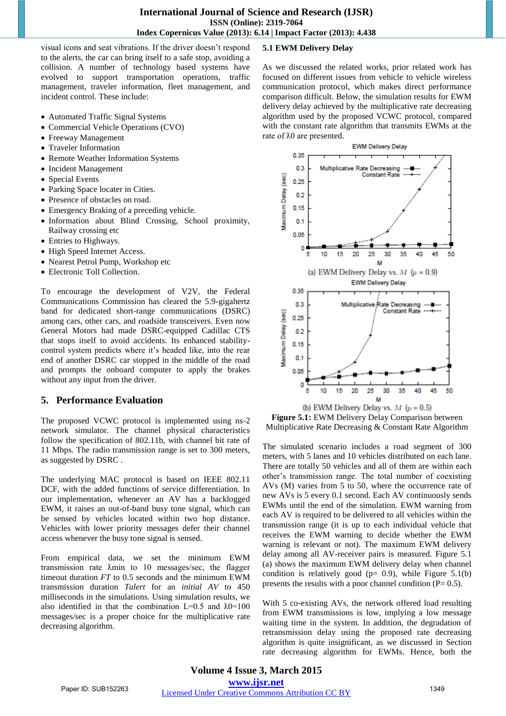visual icons and seat vibrations. If the driver doesn't respond to the alerts, the car can bring itself to a safe stop, avoiding a collision. A number of technology based systems have evolved to support transportation operations, traffic management, traveler information, fleet management, and incident control. These include:

- Automated Traffic Signal Systems
- Commercial Vehicle Operations (CVO)
- Freeway Management
- Traveler Information
- Remote Weather Information Systems
- Incident Management
- Special Events
- Parking Space locater in Cities.
- Presence of obstacles on road.
- Emergency Braking of a preceding vehicle.
- Information about Blind Crossing, School proximity, Railway crossing etc
- Entries to Highways.
- High Speed Internet Access.
- Nearest Petrol Pump, Workshop etc
- Electronic Toll Collection.

To encourage the development of V2V, the Federal Communications Commission has cleared the 5.9-gigahertz band for dedicated short-range communications (DSRC) among cars, other cars, and roadside transceivers. Even now General Motors had made DSRC-equipped Cadillac CTS that stops itself to avoid accidents. Its enhanced stabilitycontrol system predicts where it's headed like, into the rear end of another DSRC car stopped in the middle of the road and prompts the onboard computer to apply the brakes without any input from the driver.

## **5. Performance Evaluation**

The proposed VCWC protocol is implemented using ns-2 network simulator. The channel physical characteristics follow the specification of 802.11b, with channel bit rate of 11 Mbps. The radio transmission range is set to 300 meters, as suggested by DSRC .

The underlying MAC protocol is based on IEEE 802.11 DCF, with the added functions of service differentiation. In our implementation, whenever an AV has a backlogged EWM, it raises an out-of-band busy tone signal, which can be sensed by vehicles located within two hop distance. Vehicles with lower priority messages defer their channel access whenever the busy tone signal is sensed.

From empirical data, we set the minimum EWM transmission rate  $\lambda$ min to 10 messages/sec, the flagger timeout duration *FT* to 0.5 seconds and the minimum EWM transmission duration *Talert* for an *initial AV* to 450 milliseconds in the simulations. Using simulation results, we also identified in that the combination  $L=0.5$  and  $\lambda 0=100$ messages/sec is a proper choice for the multiplicative rate decreasing algorithm.

## **5.1 EWM Delivery Delay**

As we discussed the related works, prior related work has focused on different issues from vehicle to vehicle wireless communication protocol, which makes direct performance comparison difficult. Below, the simulation results for EWM delivery delay achieved by the multiplicative rate decreasing algorithm used by the proposed VCWC protocol, compared with the constant rate algorithm that transmits EWMs at the rate of  $\lambda$ 0 are presented.



**Figure 5.1:** EWM Delivery Delay Comparison between Multiplicative Rate Decreasing & Constant Rate Algorithm

The simulated scenario includes a road segment of 300 meters, with 5 lanes and 10 vehicles distributed on each lane. There are totally 50 vehicles and all of them are within each other's transmission range. The total number of coexisting AVs (M) varies from 5 to 50, where the occurrence rate of new AVs is 5 every 0.1 second. Each AV continuously sends EWMs until the end of the simulation. EWM warning from each AV is required to be delivered to all vehicles within the transmission range (it is up to each individual vehicle that receives the EWM warning to decide whether the EWM warning is relevant or not). The maximum EWM delivery delay among all AV-receiver pairs is measured. Figure 5.1 (a) shows the maximum EWM delivery delay when channel condition is relatively good ( $p=$  0.9), while Figure 5.1(b) presents the results with a poor channel condition  $(P= 0.5)$ .

With 5 co-existing AVs, the network offered load resulting from EWM transmissions is low, implying a low message waiting time in the system. In addition, the degradation of retransmission delay using the proposed rate decreasing algorithm is quite insignificant, as we discussed in Section rate decreasing algorithm for EWMs. Hence, both the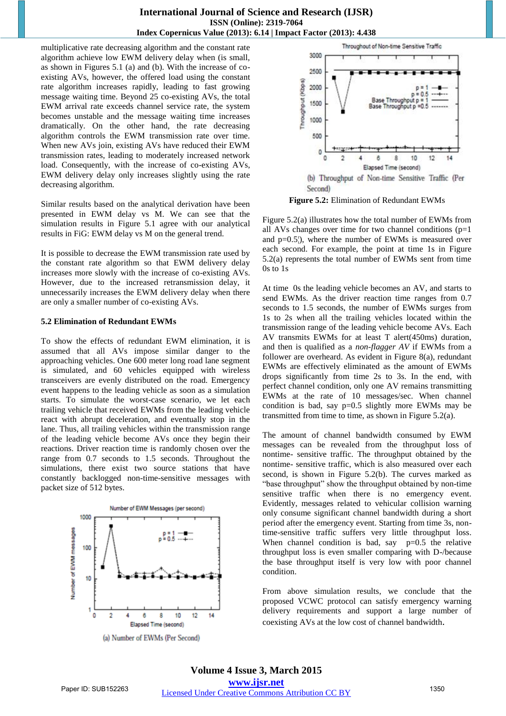multiplicative rate decreasing algorithm and the constant rate algorithm achieve low EWM delivery delay when (is small, as shown in Figures 5.1 (a) and (b). With the increase of coexisting AVs, however, the offered load using the constant rate algorithm increases rapidly, leading to fast growing message waiting time. Beyond 25 co-existing AVs, the total EWM arrival rate exceeds channel service rate, the system becomes unstable and the message waiting time increases dramatically. On the other hand, the rate decreasing algorithm controls the EWM transmission rate over time. When new AVs join, existing AVs have reduced their EWM transmission rates, leading to moderately increased network load. Consequently, with the increase of co-existing AVs, EWM delivery delay only increases slightly using the rate decreasing algorithm.

Similar results based on the analytical derivation have been presented in EWM delay vs M. We can see that the simulation results in Figure 5.1 agree with our analytical results in FiG: EWM delay vs M on the general trend.

It is possible to decrease the EWM transmission rate used by the constant rate algorithm so that EWM delivery delay increases more slowly with the increase of co-existing AVs. However, due to the increased retransmission delay, it unnecessarily increases the EWM delivery delay when there are only a smaller number of co-existing AVs.

## **5.2 Elimination of Redundant EWMs**

To show the effects of redundant EWM elimination, it is assumed that all AVs impose similar danger to the approaching vehicles. One 600 meter long road lane segment is simulated, and 60 vehicles equipped with wireless transceivers are evenly distributed on the road. Emergency event happens to the leading vehicle as soon as a simulation starts. To simulate the worst-case scenario, we let each trailing vehicle that received EWMs from the leading vehicle react with abrupt deceleration, and eventually stop in the lane. Thus, all trailing vehicles within the transmission range of the leading vehicle become AVs once they begin their reactions. Driver reaction time is randomly chosen over the range from 0.7 seconds to 1.5 seconds. Throughout the simulations, there exist two source stations that have constantly backlogged non-time-sensitive messages with packet size of 512 bytes.



(a) Number of EWMs (Per Second)



**Figure 5.2:** Elimination of Redundant EWMs

Figure 5.2(a) illustrates how the total number of EWMs from all AVs changes over time for two channel conditions  $(p=1)$ and p=0.5¦), where the number of EWMs is measured over each second. For example, the point at time 1s in Figure 5.2(a) represents the total number of EWMs sent from time 0s to 1s

At time 0s the leading vehicle becomes an AV, and starts to send EWMs. As the driver reaction time ranges from 0.7 seconds to 1.5 seconds, the number of EWMs surges from 1s to 2s when all the trailing vehicles located within the transmission range of the leading vehicle become AVs. Each AV transmits EWMs for at least T alert(450ms) duration, and then is qualified as a *non-flagger AV* if EWMs from a follower are overheard. As evident in Figure 8(a), redundant EWMs are effectively eliminated as the amount of EWMs drops significantly from time 2s to 3s. In the end, with perfect channel condition, only one AV remains transmitting EWMs at the rate of 10 messages/sec. When channel condition is bad, say p=0.5 slightly more EWMs may be transmitted from time to time, as shown in Figure 5.2(a).

The amount of channel bandwidth consumed by EWM messages can be revealed from the throughput loss of nontime- sensitive traffic. The throughput obtained by the nontime- sensitive traffic, which is also measured over each second, is shown in Figure 5.2(b). The curves marked as "base throughput" show the throughput obtained by non-time sensitive traffic when there is no emergency event. Evidently, messages related to vehicular collision warning only consume significant channel bandwidth during a short period after the emergency event. Starting from time 3s, nontime-sensitive traffic suffers very little throughput loss. When channel condition is bad, say  $p=0.5$  the relative throughput loss is even smaller comparing with D-/because the base throughput itself is very low with poor channel condition.

From above simulation results, we conclude that the proposed VCWC protocol can satisfy emergency warning delivery requirements and support a large number of coexisting AVs at the low cost of channel bandwidth.